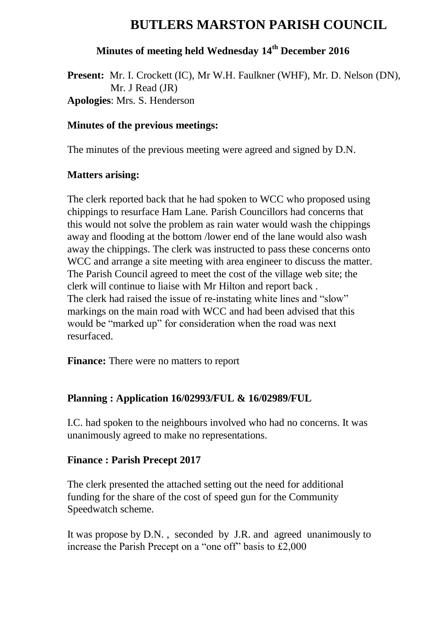# **BUTLERS MARSTON PARISH COUNCIL**

# **Minutes of meeting held Wednesday 14 th December 2016**

**Present:** Mr. I. Crockett (IC), Mr W.H. Faulkner (WHF), Mr. D. Nelson (DN), Mr. J Read (JR) **Apologies**: Mrs. S. Henderson

#### **Minutes of the previous meetings:**

The minutes of the previous meeting were agreed and signed by D.N.

#### **Matters arising:**

The clerk reported back that he had spoken to WCC who proposed using chippings to resurface Ham Lane. Parish Councillors had concerns that this would not solve the problem as rain water would wash the chippings away and flooding at the bottom /lower end of the lane would also wash away the chippings. The clerk was instructed to pass these concerns onto WCC and arrange a site meeting with area engineer to discuss the matter. The Parish Council agreed to meet the cost of the village web site; the clerk will continue to liaise with Mr Hilton and report back . The clerk had raised the issue of re-instating white lines and "slow" markings on the main road with WCC and had been advised that this would be "marked up" for consideration when the road was next resurfaced.

**Finance:** There were no matters to report

# **Planning : Application 16/02993/FUL & 16/02989/FUL**

I.C. had spoken to the neighbours involved who had no concerns. It was unanimously agreed to make no representations.

### **Finance : Parish Precept 2017**

The clerk presented the attached setting out the need for additional funding for the share of the cost of speed gun for the Community Speedwatch scheme.

It was propose by D.N. , seconded by J.R. and agreed unanimously to increase the Parish Precept on a "one off" basis to £2,000